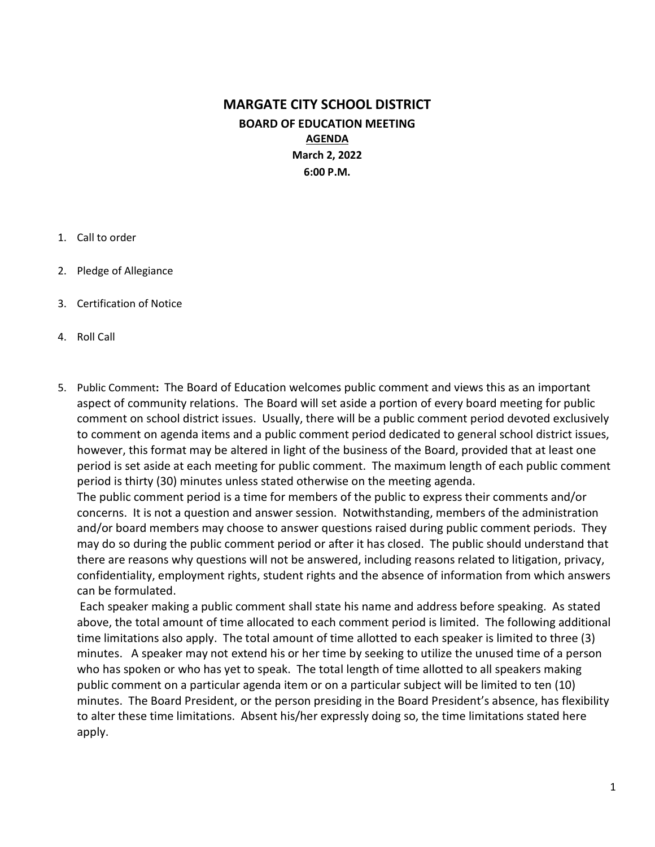## MARGATE CITY SCHOOL DISTRICT BOARD OF EDUCATION MEETING AGENDA March 2, 2022 6:00 P.M.

- 1. Call to order
- 2. Pledge of Allegiance
- 3. Certification of Notice
- 4. Roll Call
- 5. Public Comment: The Board of Education welcomes public comment and views this as an important aspect of community relations. The Board will set aside a portion of every board meeting for public comment on school district issues. Usually, there will be a public comment period devoted exclusively to comment on agenda items and a public comment period dedicated to general school district issues, however, this format may be altered in light of the business of the Board, provided that at least one period is set aside at each meeting for public comment. The maximum length of each public comment period is thirty (30) minutes unless stated otherwise on the meeting agenda.

The public comment period is a time for members of the public to express their comments and/or concerns. It is not a question and answer session. Notwithstanding, members of the administration and/or board members may choose to answer questions raised during public comment periods. They may do so during the public comment period or after it has closed. The public should understand that there are reasons why questions will not be answered, including reasons related to litigation, privacy, confidentiality, employment rights, student rights and the absence of information from which answers can be formulated.

 Each speaker making a public comment shall state his name and address before speaking. As stated above, the total amount of time allocated to each comment period is limited. The following additional time limitations also apply. The total amount of time allotted to each speaker is limited to three (3) minutes. A speaker may not extend his or her time by seeking to utilize the unused time of a person who has spoken or who has yet to speak. The total length of time allotted to all speakers making public comment on a particular agenda item or on a particular subject will be limited to ten (10) minutes. The Board President, or the person presiding in the Board President's absence, has flexibility to alter these time limitations. Absent his/her expressly doing so, the time limitations stated here apply.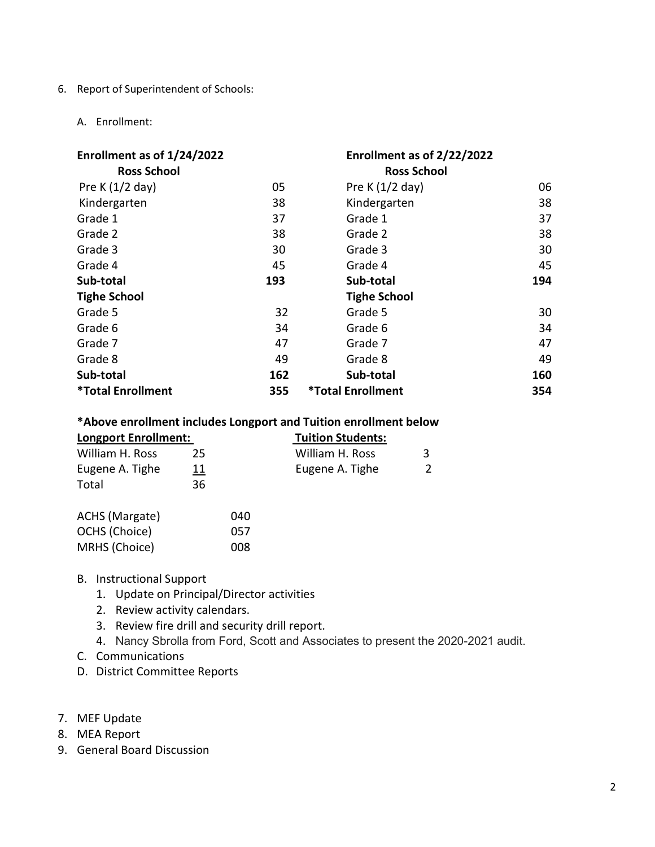6. Report of Superintendent of Schools:

#### A. Enrollment:

| Enrollment as of 1/24/2022<br><b>Ross School</b> |     | Enrollment as of 2/22/2022<br><b>Ross School</b> |     |
|--------------------------------------------------|-----|--------------------------------------------------|-----|
| Pre K $(1/2$ day)                                | 05  | Pre K $(1/2$ day)                                | 06  |
| Kindergarten                                     | 38  | Kindergarten                                     | 38  |
| Grade 1                                          | 37  | Grade 1                                          | 37  |
| Grade 2                                          | 38  | Grade 2                                          | 38  |
| Grade 3                                          | 30  | Grade 3                                          | 30  |
| Grade 4                                          | 45  | Grade 4                                          | 45  |
| Sub-total                                        | 193 | Sub-total                                        | 194 |
| <b>Tighe School</b>                              |     | <b>Tighe School</b>                              |     |
| Grade 5                                          | 32  | Grade 5                                          | 30  |
| Grade 6                                          | 34  | Grade 6                                          | 34  |
| Grade 7                                          | 47  | Grade 7                                          | 47  |
| Grade 8                                          | 49  | Grade 8                                          | 49  |
| Sub-total                                        | 162 | Sub-total                                        | 160 |
| <b>*Total Enrollment</b>                         | 355 | <b>*Total Enrollment</b>                         | 354 |

### \*Above enrollment includes Longport and Tuition enrollment below

| <b>Longport Enrollment:</b> |            | <b>Tuition Students:</b> |  |
|-----------------------------|------------|--------------------------|--|
| William H. Ross             | 25         | William H. Ross          |  |
| Eugene A. Tighe             | <u> 11</u> | Eugene A. Tighe          |  |
| Total                       | 36         |                          |  |

| ACHS (Margate) | 040 |
|----------------|-----|
| OCHS (Choice)  | 057 |
| MRHS (Choice)  | 008 |

B. Instructional Support

- 1. Update on Principal/Director activities
- 2. Review activity calendars.
- 3. Review fire drill and security drill report.
- 4. Nancy Sbrolla from Ford, Scott and Associates to present the 2020-2021 audit.
- C. Communications
- D. District Committee Reports
- 7. MEF Update
- 8. MEA Report
- 9. General Board Discussion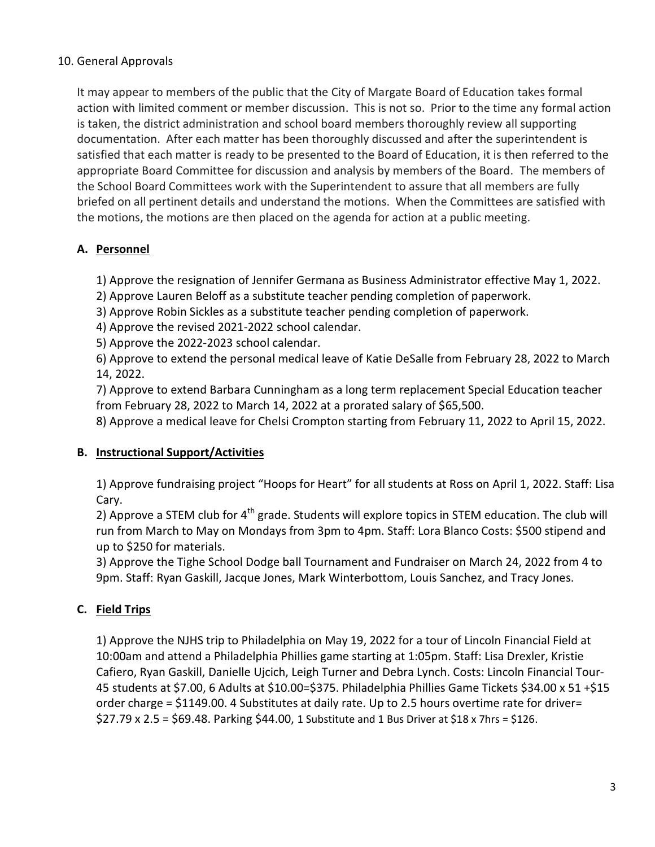## 10. General Approvals

It may appear to members of the public that the City of Margate Board of Education takes formal action with limited comment or member discussion. This is not so. Prior to the time any formal action is taken, the district administration and school board members thoroughly review all supporting documentation. After each matter has been thoroughly discussed and after the superintendent is satisfied that each matter is ready to be presented to the Board of Education, it is then referred to the appropriate Board Committee for discussion and analysis by members of the Board. The members of the School Board Committees work with the Superintendent to assure that all members are fully briefed on all pertinent details and understand the motions. When the Committees are satisfied with the motions, the motions are then placed on the agenda for action at a public meeting.

## A. Personnel

1) Approve the resignation of Jennifer Germana as Business Administrator effective May 1, 2022.

- 2) Approve Lauren Beloff as a substitute teacher pending completion of paperwork.
- 3) Approve Robin Sickles as a substitute teacher pending completion of paperwork.
- 4) Approve the revised 2021-2022 school calendar.
- 5) Approve the 2022-2023 school calendar.

6) Approve to extend the personal medical leave of Katie DeSalle from February 28, 2022 to March 14, 2022.

7) Approve to extend Barbara Cunningham as a long term replacement Special Education teacher from February 28, 2022 to March 14, 2022 at a prorated salary of \$65,500.

8) Approve a medical leave for Chelsi Crompton starting from February 11, 2022 to April 15, 2022.

### B. Instructional Support/Activities

1) Approve fundraising project "Hoops for Heart" for all students at Ross on April 1, 2022. Staff: Lisa Cary.

2) Approve a STEM club for  $4<sup>th</sup>$  grade. Students will explore topics in STEM education. The club will run from March to May on Mondays from 3pm to 4pm. Staff: Lora Blanco Costs: \$500 stipend and up to \$250 for materials.

3) Approve the Tighe School Dodge ball Tournament and Fundraiser on March 24, 2022 from 4 to 9pm. Staff: Ryan Gaskill, Jacque Jones, Mark Winterbottom, Louis Sanchez, and Tracy Jones.

### C. Field Trips

1) Approve the NJHS trip to Philadelphia on May 19, 2022 for a tour of Lincoln Financial Field at 10:00am and attend a Philadelphia Phillies game starting at 1:05pm. Staff: Lisa Drexler, Kristie Cafiero, Ryan Gaskill, Danielle Ujcich, Leigh Turner and Debra Lynch. Costs: Lincoln Financial Tour-45 students at \$7.00, 6 Adults at \$10.00=\$375. Philadelphia Phillies Game Tickets \$34.00 x 51 +\$15 order charge = \$1149.00. 4 Substitutes at daily rate. Up to 2.5 hours overtime rate for driver=  $$27.79 \times 2.5 = $69.48$ . Parking \$44.00, 1 Substitute and 1 Bus Driver at \$18 x 7hrs = \$126.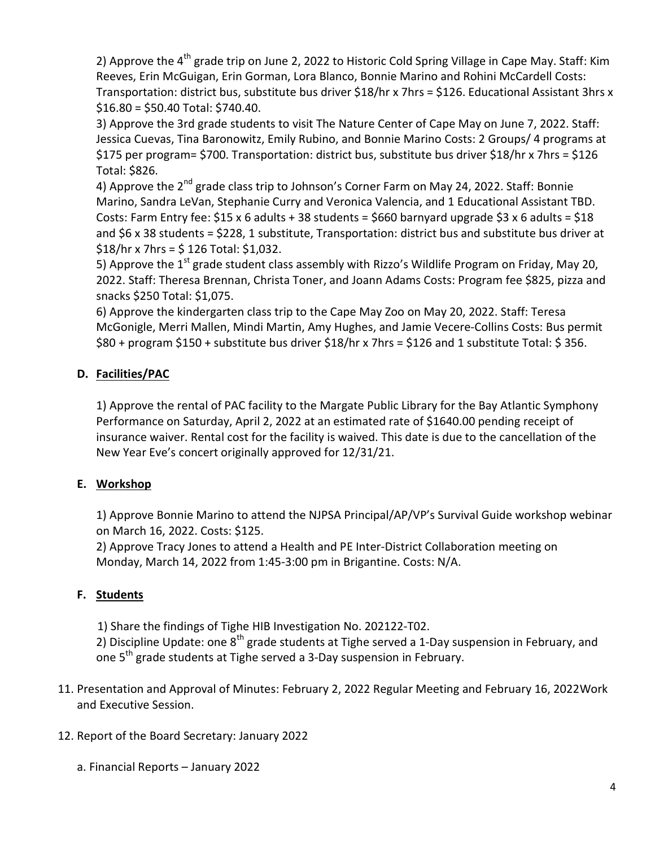2) Approve the 4<sup>th</sup> grade trip on June 2, 2022 to Historic Cold Spring Village in Cape May. Staff: Kim Reeves, Erin McGuigan, Erin Gorman, Lora Blanco, Bonnie Marino and Rohini McCardell Costs: Transportation: district bus, substitute bus driver \$18/hr x 7hrs = \$126. Educational Assistant 3hrs x \$16.80 = \$50.40 Total: \$740.40.

3) Approve the 3rd grade students to visit The Nature Center of Cape May on June 7, 2022. Staff: Jessica Cuevas, Tina Baronowitz, Emily Rubino, and Bonnie Marino Costs: 2 Groups/ 4 programs at \$175 per program= \$700. Transportation: district bus, substitute bus driver \$18/hr x 7hrs = \$126 Total: \$826.

4) Approve the  $2^{nd}$  grade class trip to Johnson's Corner Farm on May 24, 2022. Staff: Bonnie Marino, Sandra LeVan, Stephanie Curry and Veronica Valencia, and 1 Educational Assistant TBD. Costs: Farm Entry fee:  $$15 \times 6$  adults + 38 students =  $$660$  barnyard upgrade  $$3 \times 6$  adults =  $$18$ and \$6 x 38 students = \$228, 1 substitute, Transportation: district bus and substitute bus driver at  $$18/hr x 7hrs = $ 126 Total: $1,032.$ 

5) Approve the 1<sup>st</sup> grade student class assembly with Rizzo's Wildlife Program on Friday, May 20, 2022. Staff: Theresa Brennan, Christa Toner, and Joann Adams Costs: Program fee \$825, pizza and snacks \$250 Total: \$1,075.

6) Approve the kindergarten class trip to the Cape May Zoo on May 20, 2022. Staff: Teresa McGonigle, Merri Mallen, Mindi Martin, Amy Hughes, and Jamie Vecere-Collins Costs: Bus permit \$80 + program \$150 + substitute bus driver \$18/hr x 7hrs = \$126 and 1 substitute Total: \$ 356.

## D. Facilities/PAC

1) Approve the rental of PAC facility to the Margate Public Library for the Bay Atlantic Symphony Performance on Saturday, April 2, 2022 at an estimated rate of \$1640.00 pending receipt of insurance waiver. Rental cost for the facility is waived. This date is due to the cancellation of the New Year Eve's concert originally approved for 12/31/21.

# E. Workshop

1) Approve Bonnie Marino to attend the NJPSA Principal/AP/VP's Survival Guide workshop webinar on March 16, 2022. Costs: \$125.

2) Approve Tracy Jones to attend a Health and PE Inter-District Collaboration meeting on Monday, March 14, 2022 from 1:45-3:00 pm in Brigantine. Costs: N/A.

## F. Students

1) Share the findings of Tighe HIB Investigation No. 202122-T02.

2) Discipline Update: one 8<sup>th</sup> grade students at Tighe served a 1-Day suspension in February, and one 5<sup>th</sup> grade students at Tighe served a 3-Day suspension in February.

- 11. Presentation and Approval of Minutes: February 2, 2022 Regular Meeting and February 16, 2022Work and Executive Session.
- 12. Report of the Board Secretary: January 2022
	- a. Financial Reports January 2022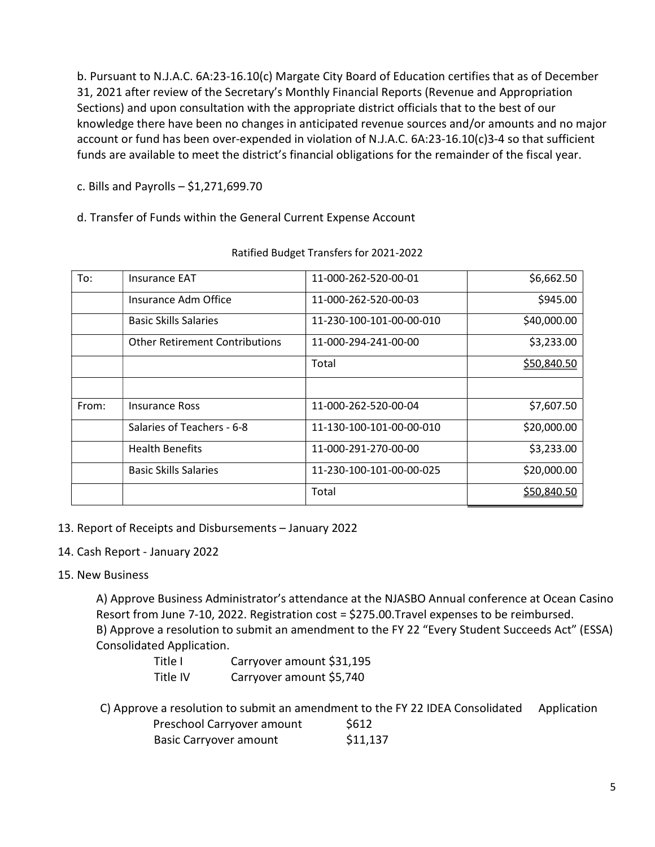b. Pursuant to N.J.A.C. 6A:23-16.10(c) Margate City Board of Education certifies that as of December 31, 2021 after review of the Secretary's Monthly Financial Reports (Revenue and Appropriation Sections) and upon consultation with the appropriate district officials that to the best of our knowledge there have been no changes in anticipated revenue sources and/or amounts and no major account or fund has been over-expended in violation of N.J.A.C. 6A:23-16.10(c)3-4 so that sufficient funds are available to meet the district's financial obligations for the remainder of the fiscal year.

c. Bills and Payrolls – \$1,271,699.70

d. Transfer of Funds within the General Current Expense Account

| To:   | <b>Insurance EAT</b>                  | 11-000-262-520-00-01     | \$6,662.50  |
|-------|---------------------------------------|--------------------------|-------------|
|       | Insurance Adm Office                  | 11-000-262-520-00-03     | \$945.00    |
|       | <b>Basic Skills Salaries</b>          | 11-230-100-101-00-00-010 | \$40,000.00 |
|       | <b>Other Retirement Contributions</b> | 11-000-294-241-00-00     | \$3,233.00  |
|       |                                       | Total                    | \$50,840.50 |
|       |                                       |                          |             |
| From: | <b>Insurance Ross</b>                 | 11-000-262-520-00-04     | \$7,607.50  |
|       | Salaries of Teachers - 6-8            | 11-130-100-101-00-00-010 | \$20,000.00 |
|       | <b>Health Benefits</b>                | 11-000-291-270-00-00     | \$3,233.00  |
|       | <b>Basic Skills Salaries</b>          | 11-230-100-101-00-00-025 | \$20,000.00 |
|       |                                       | Total                    | \$50,840.50 |

#### Ratified Budget Transfers for 2021-2022

- 13. Report of Receipts and Disbursements January 2022
- 14. Cash Report January 2022

## 15. New Business

A) Approve Business Administrator's attendance at the NJASBO Annual conference at Ocean Casino Resort from June 7-10, 2022. Registration cost = \$275.00.Travel expenses to be reimbursed. B) Approve a resolution to submit an amendment to the FY 22 "Every Student Succeeds Act" (ESSA) Consolidated Application.

| Title I  | Carryover amount \$31,195 |
|----------|---------------------------|
| Title IV | Carryover amount \$5,740  |

C) Approve a resolution to submit an amendment to the FY 22 IDEA Consolidated Application Preschool Carryover amount \$612

| <b>Basic Carryover amount</b> | \$11,137 |
|-------------------------------|----------|
|-------------------------------|----------|